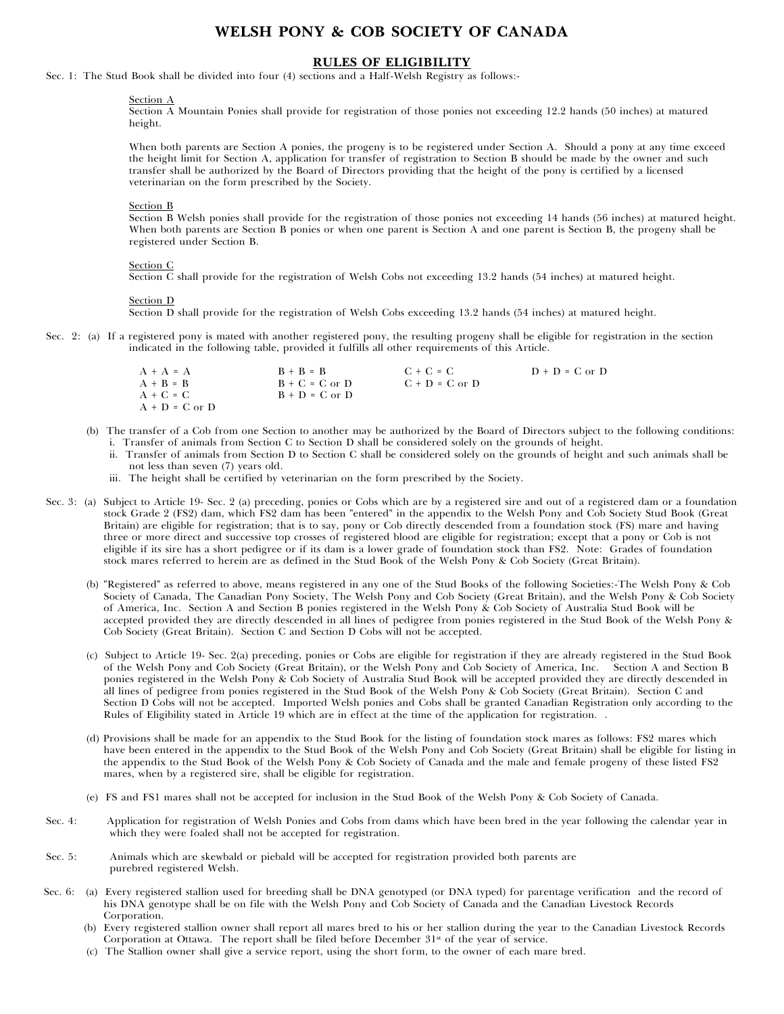# **WELSH PONY & COB SOCIETY OF CANADA**

### **RULES OF ELIGIBILITY**

Sec. 1: The Stud Book shall be divided into four (4) sections and a Half-Welsh Registry as follows:-

#### Section A

Section A Mountain Ponies shall provide for registration of those ponies not exceeding 12.2 hands (50 inches) at matured height.

When both parents are Section A ponies, the progeny is to be registered under Section A. Should a pony at any time exceed the height limit for Section A, application for transfer of registration to Section B should be made by the owner and such transfer shall be authorized by the Board of Directors providing that the height of the pony is certified by a licensed veterinarian on the form prescribed by the Society.

#### Section B

Section B Welsh ponies shall provide for the registration of those ponies not exceeding 14 hands (56 inches) at matured height. When both parents are Section B ponies or when one parent is Section A and one parent is Section B, the progeny shall be registered under Section B.

#### Section C

Section C shall provide for the registration of Welsh Cobs not exceeding 13.2 hands (54 inches) at matured height.

#### Section D

Section D shall provide for the registration of Welsh Cobs exceeding 13.2 hands (54 inches) at matured height.

Sec. 2: (a) If a registered pony is mated with another registered pony, the resulting progeny shall be eligible for registration in the section indicated in the following table, provided it fulfills all other requirements of this Article.

| $A + A = A$        | $B + B = B$        | $C + C = C$        | $D + D = C$ or $D$ |
|--------------------|--------------------|--------------------|--------------------|
| $A + B = B$        | $B + C = C$ or $D$ | $C + D = C$ or $D$ |                    |
| $A + C = C$        | $B + D = C$ or $D$ |                    |                    |
| $A + D = C$ or $D$ |                    |                    |                    |

- (b) The transfer of a Cob from one Section to another may be authorized by the Board of Directors subject to the following conditions: i. Transfer of animals from Section C to Section D shall be considered solely on the grounds of height.
	- ii. Transfer of animals from Section D to Section C shall be considered solely on the grounds of height and such animals shall be not less than seven (7) years old.
	- iii. The height shall be certified by veterinarian on the form prescribed by the Society.
- Sec. 3: (a) Subject to Article 19- Sec. 2 (a) preceding, ponies or Cobs which are by a registered sire and out of a registered dam or a foundation stock Grade 2 (FS2) dam, which FS2 dam has been "entered" in the appendix to the Welsh Pony and Cob Society Stud Book (Great Britain) are eligible for registration; that is to say, pony or Cob directly descended from a foundation stock (FS) mare and having three or more direct and successive top crosses of registered blood are eligible for registration; except that a pony or Cob is not eligible if its sire has a short pedigree or if its dam is a lower grade of foundation stock than FS2. Note: Grades of foundation stock mares referred to herein are as defined in the Stud Book of the Welsh Pony & Cob Society (Great Britain).
	- (b) "Registered" as referred to above, means registered in any one of the Stud Books of the following Societies:-The Welsh Pony & Cob Society of Canada, The Canadian Pony Society, The Welsh Pony and Cob Society (Great Britain), and the Welsh Pony & Cob Society of America, Inc. Section A and Section B ponies registered in the Welsh Pony & Cob Society of Australia Stud Book will be accepted provided they are directly descended in all lines of pedigree from ponies registered in the Stud Book of the Welsh Pony & Cob Society (Great Britain). Section C and Section D Cobs will not be accepted.
	- (c) Subject to Article 19- Sec. 2(a) preceding, ponies or Cobs are eligible for registration if they are already registered in the Stud Book of the Welsh Pony and Cob Society (Great Britain), or the Welsh Pony and Cob Society of America, Inc. Section A and Section B ponies registered in the Welsh Pony & Cob Society of Australia Stud Book will be accepted provided they are directly descended in all lines of pedigree from ponies registered in the Stud Book of the Welsh Pony & Cob Society (Great Britain). Section C and Section D Cobs will not be accepted. Imported Welsh ponies and Cobs shall be granted Canadian Registration only according to the Rules of Eligibility stated in Article 19 which are in effect at the time of the application for registration. .
	- (d) Provisions shall be made for an appendix to the Stud Book for the listing of foundation stock mares as follows: FS2 mares which have been entered in the appendix to the Stud Book of the Welsh Pony and Cob Society (Great Britain) shall be eligible for listing in the appendix to the Stud Book of the Welsh Pony & Cob Society of Canada and the male and female progeny of these listed FS2 mares, when by a registered sire, shall be eligible for registration.
	- (e) FS and FS1 mares shall not be accepted for inclusion in the Stud Book of the Welsh Pony & Cob Society of Canada.
- Sec. 4: Application for registration of Welsh Ponies and Cobs from dams which have been bred in the year following the calendar year in which they were foaled shall not be accepted for registration.
- Sec. 5: Animals which are skewbald or piebald will be accepted for registration provided both parents are purebred registered Welsh.
- Sec. 6: (a) Every registered stallion used for breeding shall be DNA genotyped (or DNA typed) for parentage verification and the record of his DNA genotype shall be on file with the Welsh Pony and Cob Society of Canada and the Canadian Livestock Records Corporation.
	- (b) Every registered stallion owner shall report all mares bred to his or her stallion during the year to the Canadian Livestock Records Corporation at Ottawa. The report shall be filed before December  $31<sup>st</sup>$  of the year of service.
	- (c) The Stallion owner shall give a service report, using the short form, to the owner of each mare bred.